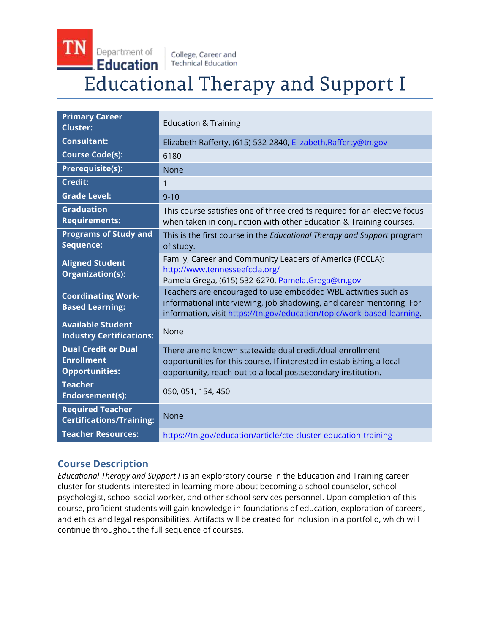### TN Department of College, Career and **Education Technical Education Educational Therapy and Support I**

| <b>Primary Career</b><br><b>Cluster:</b>                                 | <b>Education &amp; Training</b>                                                                                                                                                                                  |
|--------------------------------------------------------------------------|------------------------------------------------------------------------------------------------------------------------------------------------------------------------------------------------------------------|
| <b>Consultant:</b>                                                       | Elizabeth Rafferty, (615) 532-2840, Elizabeth.Rafferty@tn.gov                                                                                                                                                    |
| <b>Course Code(s):</b>                                                   | 6180                                                                                                                                                                                                             |
| Prerequisite(s):                                                         | None                                                                                                                                                                                                             |
| Credit:                                                                  | 1                                                                                                                                                                                                                |
| <b>Grade Level:</b>                                                      | $9 - 10$                                                                                                                                                                                                         |
| <b>Graduation</b><br><b>Requirements:</b>                                | This course satisfies one of three credits required for an elective focus<br>when taken in conjunction with other Education & Training courses.                                                                  |
| <b>Programs of Study and</b><br>Sequence:                                | This is the first course in the <i>Educational Therapy and Support</i> program<br>of study.                                                                                                                      |
| <b>Aligned Student</b><br>Organization(s):                               | Family, Career and Community Leaders of America (FCCLA):<br>http://www.tennesseefccla.org/<br>Pamela Grega, (615) 532-6270, Pamela.Grega@tn.gov                                                                  |
| <b>Coordinating Work-</b><br><b>Based Learning:</b>                      | Teachers are encouraged to use embedded WBL activities such as<br>informational interviewing, job shadowing, and career mentoring. For<br>information, visit https://tn.gov/education/topic/work-based-learning. |
| <b>Available Student</b><br><b>Industry Certifications:</b>              | None                                                                                                                                                                                                             |
| <b>Dual Credit or Dual</b><br><b>Enrollment</b><br><b>Opportunities:</b> | There are no known statewide dual credit/dual enrollment<br>opportunities for this course. If interested in establishing a local<br>opportunity, reach out to a local postsecondary institution.                 |
| <b>Teacher</b><br>Endorsement(s):                                        | 050, 051, 154, 450                                                                                                                                                                                               |
| <b>Required Teacher</b><br><b>Certifications/Training:</b>               | None                                                                                                                                                                                                             |
| <b>Teacher Resources:</b>                                                | https://tn.gov/education/article/cte-cluster-education-training                                                                                                                                                  |

# **Course Description**

*Educational Therapy and Support I* is an exploratory course in the Education and Training career cluster for students interested in learning more about becoming a school counselor, school psychologist, school social worker, and other school services personnel. Upon completion of this course, proficient students will gain knowledge in foundations of education, exploration of careers, and ethics and legal responsibilities. Artifacts will be created for inclusion in a portfolio, which will continue throughout the full sequence of courses.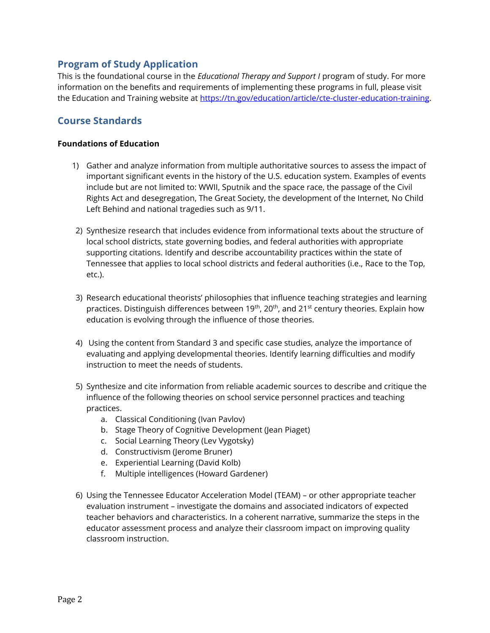### **Program of Study Application**

This is the foundational course in the *Educational Therapy and Support I* program of study. For more information on the benefits and requirements of implementing these programs in full, please visit the Education and Training website at [https://tn.gov/education/article/cte-cluster-education-training.](https://tn.gov/education/article/cte-cluster-education-training)

## **Course Standards**

#### **Foundations of Education**

- 1) Gather and analyze information from multiple authoritative sources to assess the impact of important significant events in the history of the U.S. education system. Examples of events include but are not limited to: WWII, Sputnik and the space race, the passage of the Civil Rights Act and desegregation, The Great Society, the development of the Internet, No Child Left Behind and national tragedies such as 9/11.
- 2) Synthesize research that includes evidence from informational texts about the structure of local school districts, state governing bodies, and federal authorities with appropriate supporting citations. Identify and describe accountability practices within the state of Tennessee that applies to local school districts and federal authorities (i.e., Race to the Top, etc.).
- 3) Research educational theorists' philosophies that influence teaching strategies and learning practices. Distinguish differences between 19<sup>th</sup>, 20<sup>th</sup>, and 21<sup>st</sup> century theories. Explain how education is evolving through the influence of those theories.
- 4) Using the content from Standard 3 and specific case studies, analyze the importance of evaluating and applying developmental theories. Identify learning difficulties and modify instruction to meet the needs of students.
- 5) Synthesize and cite information from reliable academic sources to describe and critique the influence of the following theories on school service personnel practices and teaching practices.
	- a. Classical Conditioning (Ivan Pavlov)
	- b. Stage Theory of Cognitive Development (Jean Piaget)
	- c. Social Learning Theory (Lev Vygotsky)
	- d. Constructivism (Jerome Bruner)
	- e. Experiential Learning (David Kolb)
	- f. Multiple intelligences (Howard Gardener)
- 6) Using the Tennessee Educator Acceleration Model (TEAM) or other appropriate teacher evaluation instrument – investigate the domains and associated indicators of expected teacher behaviors and characteristics. In a coherent narrative, summarize the steps in the educator assessment process and analyze their classroom impact on improving quality classroom instruction.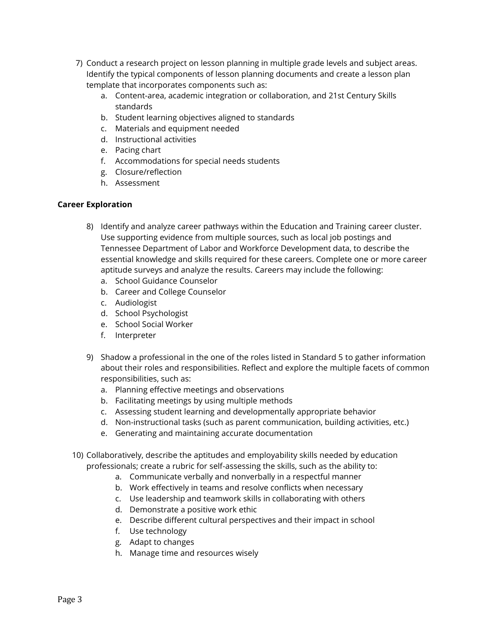- 7) Conduct a research project on lesson planning in multiple grade levels and subject areas. Identify the typical components of lesson planning documents and create a lesson plan template that incorporates components such as:
	- a. Content-area, academic integration or collaboration, and 21st Century Skills standards
	- b. Student learning objectives aligned to standards
	- c. Materials and equipment needed
	- d. Instructional activities
	- e. Pacing chart
	- f. Accommodations for special needs students
	- g. Closure/reflection
	- h. Assessment

### **Career Exploration**

- 8) Identify and analyze career pathways within the Education and Training career cluster. Use supporting evidence from multiple sources, such as local job postings and Tennessee Department of Labor and Workforce Development data, to describe the essential knowledge and skills required for these careers. Complete one or more career aptitude surveys and analyze the results. Careers may include the following:
	- a. School Guidance Counselor
	- b. Career and College Counselor
	- c. Audiologist
	- d. School Psychologist
	- e. School Social Worker
	- f. Interpreter
- 9) Shadow a professional in the one of the roles listed in Standard 5 to gather information about their roles and responsibilities. Reflect and explore the multiple facets of common responsibilities, such as:
	- a. Planning effective meetings and observations
	- b. Facilitating meetings by using multiple methods
	- c. Assessing student learning and developmentally appropriate behavior
	- d. Non-instructional tasks (such as parent communication, building activities, etc.)
	- e. Generating and maintaining accurate documentation
- 10) Collaboratively, describe the aptitudes and employability skills needed by education professionals; create a rubric for self-assessing the skills, such as the ability to:
	- a. Communicate verbally and nonverbally in a respectful manner
	- b. Work effectively in teams and resolve conflicts when necessary
	- c. Use leadership and teamwork skills in collaborating with others
	- d. Demonstrate a positive work ethic
	- e. Describe different cultural perspectives and their impact in school
	- f. Use technology
	- g. Adapt to changes
	- h. Manage time and resources wisely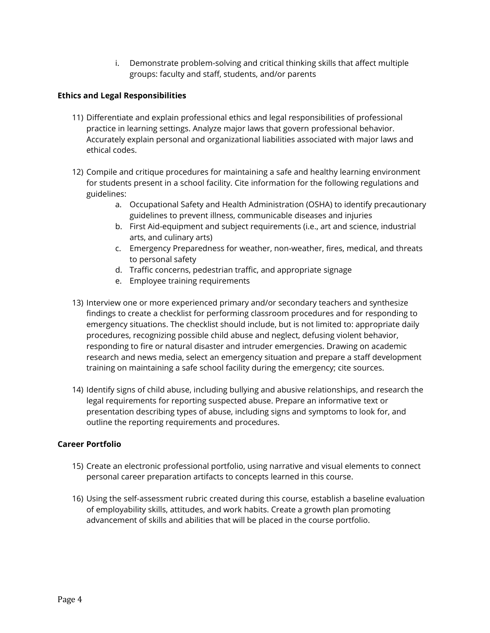i. Demonstrate problem-solving and critical thinking skills that affect multiple groups: faculty and staff, students, and/or parents

#### **Ethics and Legal Responsibilities**

- 11) Differentiate and explain professional ethics and legal responsibilities of professional practice in learning settings. Analyze major laws that govern professional behavior. Accurately explain personal and organizational liabilities associated with major laws and ethical codes.
- 12) Compile and critique procedures for maintaining a safe and healthy learning environment for students present in a school facility. Cite information for the following regulations and guidelines:
	- a. Occupational Safety and Health Administration (OSHA) to identify precautionary guidelines to prevent illness, communicable diseases and injuries
	- b. First Aid-equipment and subject requirements (i.e., art and science, industrial arts, and culinary arts)
	- c. Emergency Preparedness for weather, non-weather, fires, medical, and threats to personal safety
	- d. Traffic concerns, pedestrian traffic, and appropriate signage
	- e. Employee training requirements
- 13) Interview one or more experienced primary and/or secondary teachers and synthesize findings to create a checklist for performing classroom procedures and for responding to emergency situations. The checklist should include, but is not limited to: appropriate daily procedures, recognizing possible child abuse and neglect, defusing violent behavior, responding to fire or natural disaster and intruder emergencies. Drawing on academic research and news media, select an emergency situation and prepare a staff development training on maintaining a safe school facility during the emergency; cite sources.
- 14) Identify signs of child abuse, including bullying and abusive relationships, and research the legal requirements for reporting suspected abuse. Prepare an informative text or presentation describing types of abuse, including signs and symptoms to look for, and outline the reporting requirements and procedures.

### **Career Portfolio**

- 15) Create an electronic professional portfolio, using narrative and visual elements to connect personal career preparation artifacts to concepts learned in this course.
- 16) Using the self-assessment rubric created during this course, establish a baseline evaluation of employability skills, attitudes, and work habits. Create a growth plan promoting advancement of skills and abilities that will be placed in the course portfolio.